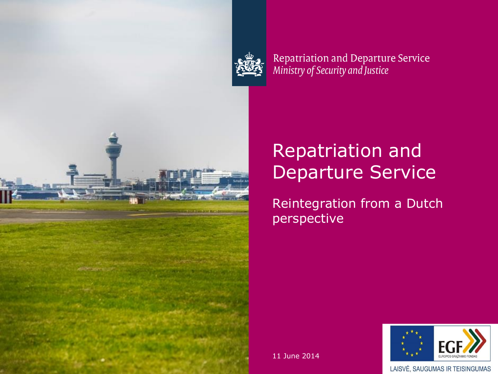

# Repatriation and Departure Service<br>Ministry of Security and Justice

#### Repatriation and Departure Service

Reintegration from a Dutch perspective

LAISVĖ, SAUGUMAS IR TEISINGUMAS

11 June 2014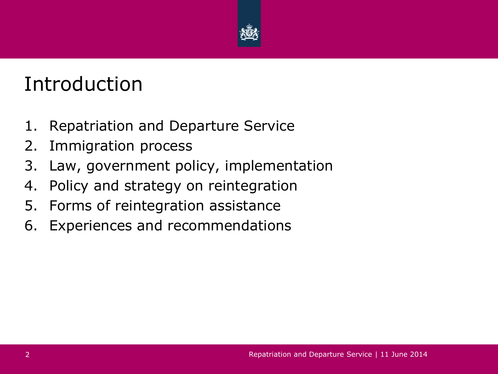

#### Introduction

- 1. Repatriation and Departure Service
- 2. Immigration process
- 3. Law, government policy, implementation
- 4. Policy and strategy on reintegration
- 5. Forms of reintegration assistance
- 6. Experiences and recommendations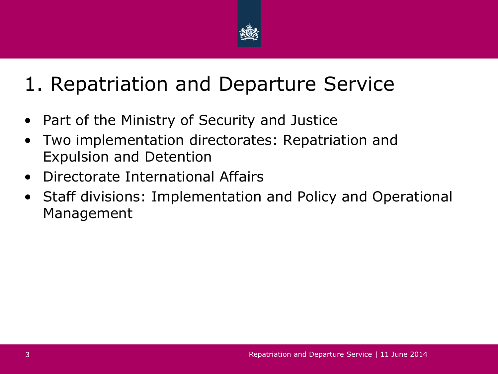

## 1. Repatriation and Departure Service

- Part of the Ministry of Security and Justice
- Two implementation directorates: Repatriation and Expulsion and Detention
- Directorate International Affairs
- Staff divisions: Implementation and Policy and Operational Management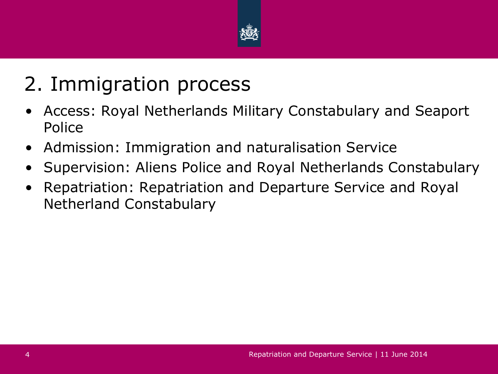

#### 2. Immigration process

- Access: Royal Netherlands Military Constabulary and Seaport Police
- Admission: Immigration and naturalisation Service
- Supervision: Aliens Police and Royal Netherlands Constabulary
- Repatriation: Repatriation and Departure Service and Royal Netherland Constabulary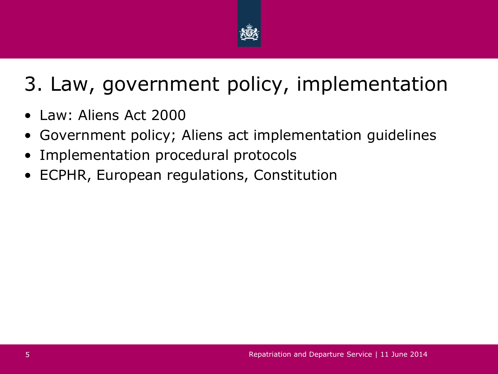

## 3. Law, government policy, implementation

- Law: Aliens Act 2000
- Government policy; Aliens act implementation guidelines
- Implementation procedural protocols
- ECPHR, European regulations, Constitution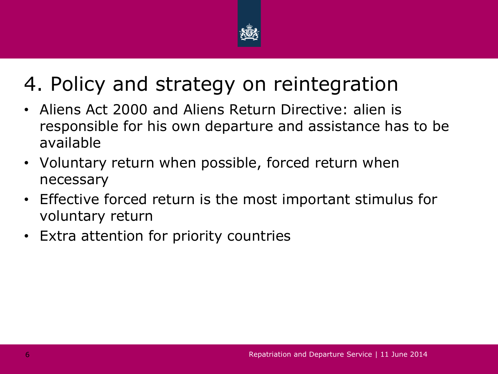

## 4. Policy and strategy on reintegration

- Aliens Act 2000 and Aliens Return Directive: alien is responsible for his own departure and assistance has to be available
- Voluntary return when possible, forced return when necessary
- Effective forced return is the most important stimulus for voluntary return
- **Extra attention for priority countries**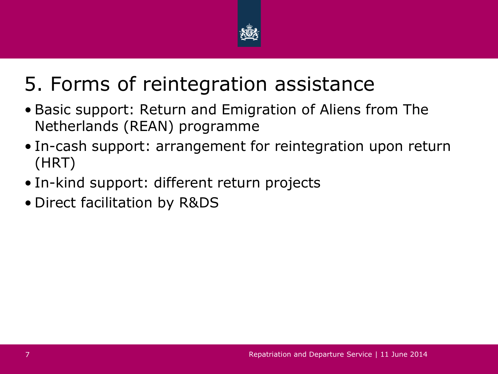

### 5. Forms of reintegration assistance

- Basic support: Return and Emigration of Aliens from The Netherlands (REAN) programme
- In-cash support: arrangement for reintegration upon return (HRT)
- In-kind support: different return projects
- Direct facilitation by R&DS